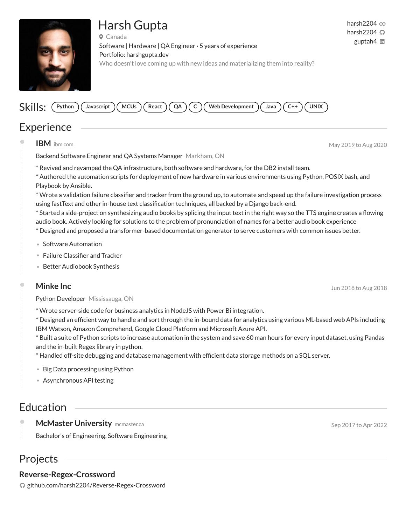# Harsh Gupta



Canada Software | Hardware | QA Engineer · 5 years of experience Portfolio: [harshgupta.dev](https://harshgupta.dev/) Who doesn't love coming up with new ideas and materializing them into reality?

#### Skills: (Python **Python Javascript MCUs React QA C Web Development Java C++ UNIX**

## **Experience**

**IBM** [ibm.com](https://gitconnected.com/harsh2204/ibm.com) May 2019 to Aug 2020

Backend Software Engineer and QA Systems Manager Markham, ON

\* Revived and revamped the QA infrastructure, both software and hardware, for the DB2 install team.

\* Authored the automation scripts for deployment of new hardware in various environments using Python, POSIX bash, and Playbook by Ansible.

\* Wrote a validation failure classier and tracker from the ground up, to automate and speed up the failure investigation process using fastText and other in-house text classification techniques, all backed by a Django back-end.

\* Started a side-project on synthesizing audio books by splicing the input text in the right way so the TTS engine creates a flowing audio book. Actively looking for solutions to the problem of pronunciation of names for a better audio book experience \* Designed and proposed a transformer-based documentation generator to serve customers with common issues better.

- **•** Software Automation
- Failure Classifier and Tracker
- **•** Better Audiobook Synthesis

#### **Minke Inc** Jun 2018 to Aug 2018

Python Developer Mississauga, ON

\* Wrote server-side code for business analytics in NodeJS with Power Bi integration.

 $*$  Designed an efficient way to handle and sort through the in-bound data for analytics using various ML-based web APIs including IBM Watson, Amazon Comprehend, Google Cloud Platform and Microsoft Azure API.

\* Built a suite of Python scripts to increase automation in the system and save 60 man hours for every input dataset, using Pandas and the in-built Regex library in python.

\* Handled off-site debugging and database management with efcient data storage methods on a SQL server.

**•** Big Data processing using Python

**•** Asynchronous API testing

## Education

**McMaster University** [mcmaster.ca](https://gitconnected.com/harsh2204/mcmaster.ca) **Sep 2017** to Apr 2022 Bachelor's of Engineering, Software Engineering

### Projects

#### **Reverse-Regex-Crossword**

[github.com/harsh2204/Reverse-Regex-Crossword](https://github.com/harsh2204/Reverse-Regex-Crossword)